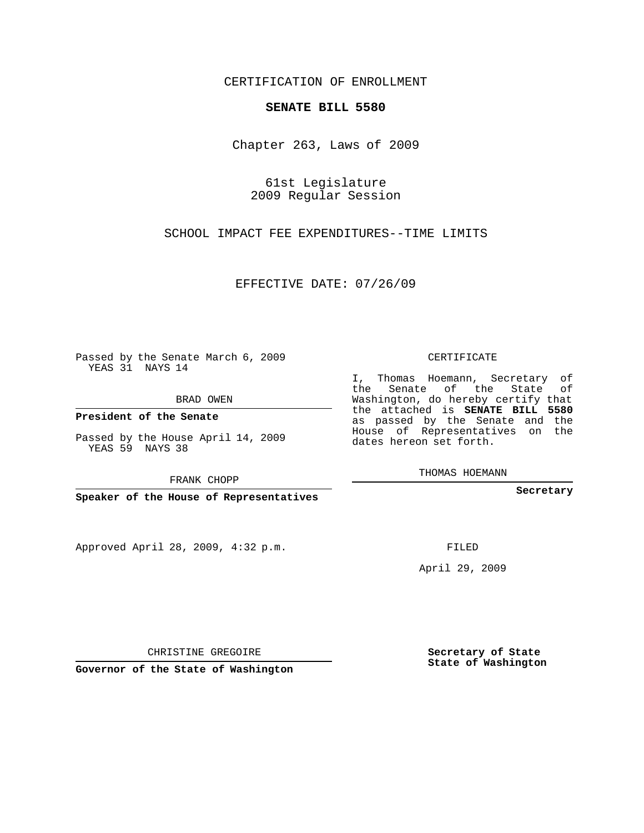## CERTIFICATION OF ENROLLMENT

## **SENATE BILL 5580**

Chapter 263, Laws of 2009

61st Legislature 2009 Regular Session

SCHOOL IMPACT FEE EXPENDITURES--TIME LIMITS

EFFECTIVE DATE: 07/26/09

Passed by the Senate March 6, 2009 YEAS 31 NAYS 14

BRAD OWEN

**President of the Senate**

Passed by the House April 14, 2009 YEAS 59 NAYS 38

FRANK CHOPP

**Speaker of the House of Representatives**

Approved April 28, 2009, 4:32 p.m.

CERTIFICATE

I, Thomas Hoemann, Secretary of the Senate of the State of Washington, do hereby certify that the attached is **SENATE BILL 5580** as passed by the Senate and the House of Representatives on the dates hereon set forth.

THOMAS HOEMANN

**Secretary**

FILED

April 29, 2009

CHRISTINE GREGOIRE

**Governor of the State of Washington**

**Secretary of State State of Washington**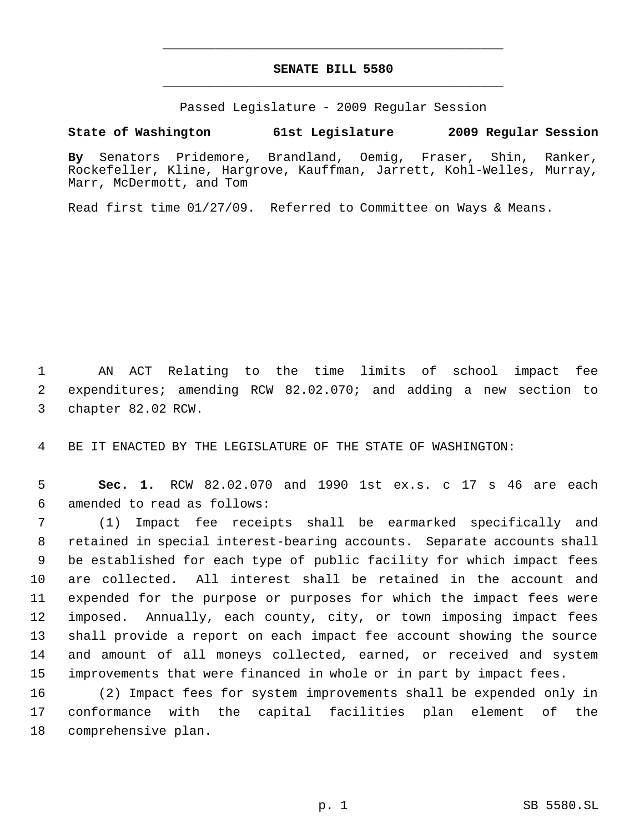## **SENATE BILL 5580** \_\_\_\_\_\_\_\_\_\_\_\_\_\_\_\_\_\_\_\_\_\_\_\_\_\_\_\_\_\_\_\_\_\_\_\_\_\_\_\_\_\_\_\_\_

\_\_\_\_\_\_\_\_\_\_\_\_\_\_\_\_\_\_\_\_\_\_\_\_\_\_\_\_\_\_\_\_\_\_\_\_\_\_\_\_\_\_\_\_\_

Passed Legislature - 2009 Regular Session

## **State of Washington 61st Legislature 2009 Regular Session**

**By** Senators Pridemore, Brandland, Oemig, Fraser, Shin, Ranker, Rockefeller, Kline, Hargrove, Kauffman, Jarrett, Kohl-Welles, Murray, Marr, McDermott, and Tom

Read first time 01/27/09. Referred to Committee on Ways & Means.

 AN ACT Relating to the time limits of school impact fee expenditures; amending RCW 82.02.070; and adding a new section to chapter 82.02 RCW.

BE IT ENACTED BY THE LEGISLATURE OF THE STATE OF WASHINGTON:

 **Sec. 1.** RCW 82.02.070 and 1990 1st ex.s. c 17 s 46 are each amended to read as follows:

 (1) Impact fee receipts shall be earmarked specifically and retained in special interest-bearing accounts. Separate accounts shall be established for each type of public facility for which impact fees are collected. All interest shall be retained in the account and expended for the purpose or purposes for which the impact fees were imposed. Annually, each county, city, or town imposing impact fees shall provide a report on each impact fee account showing the source and amount of all moneys collected, earned, or received and system improvements that were financed in whole or in part by impact fees.

 (2) Impact fees for system improvements shall be expended only in conformance with the capital facilities plan element of the comprehensive plan.